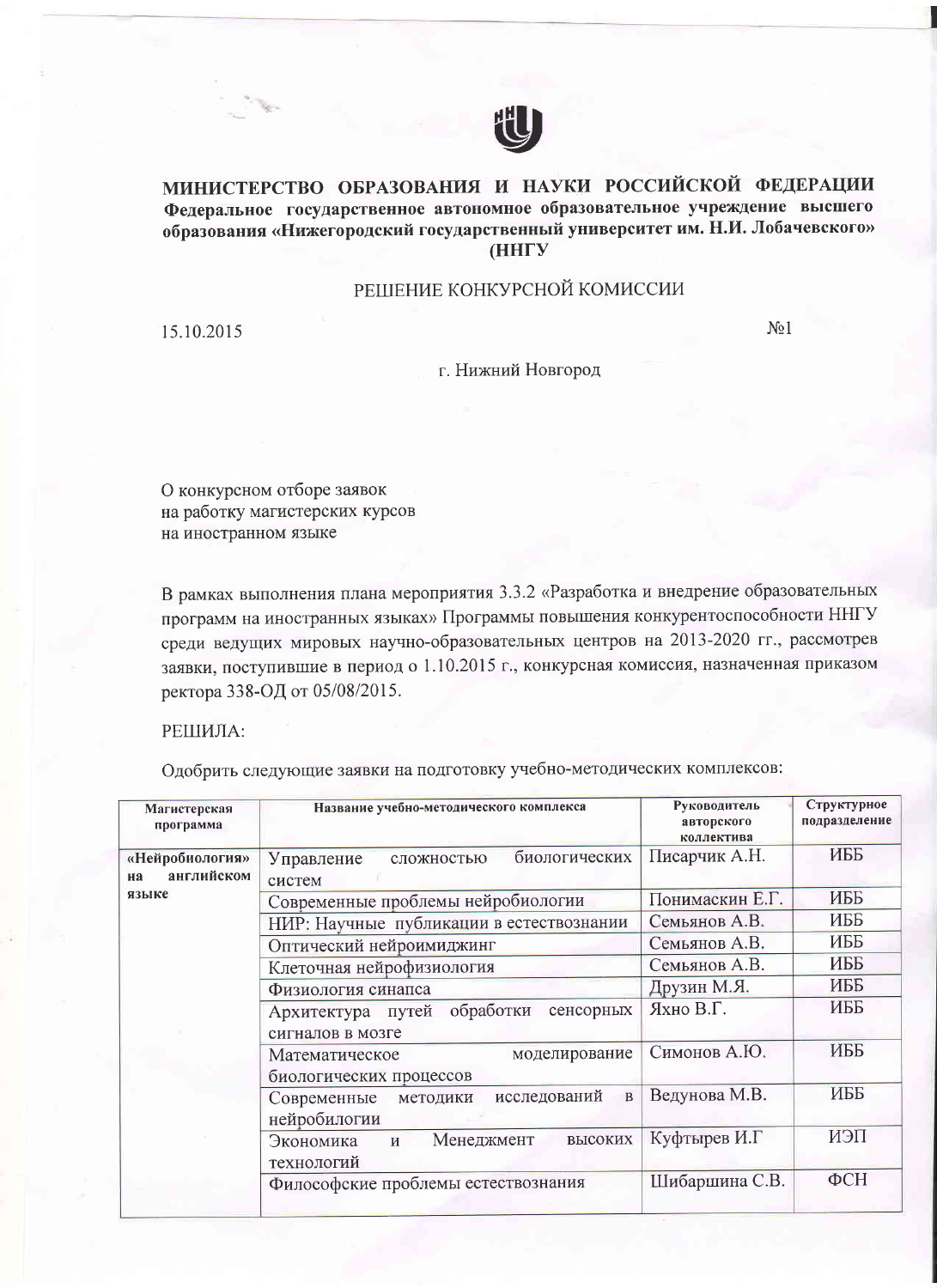

## МИНИСТЕРСТВО ОБРАЗОВАНИЯ И НАУКИ РОССИЙСКОЙ ФЕДЕРАЦИИ Федеральное государственное автономное образовательное учреждение высшего образования «Нижегородский государственный университет им. Н.И. Лобачевского» **(ННГУ)**

## РЕШЕНИЕ КОНКУРСНОЙ КОМИССИИ

15.10.2015

 $N<sub>0</sub>1$ 

## г. Нижний Новгород

О конкурсном отборе заявок на работку магистерских курсов на иностранном языке

В рамках выполнения плана мероприятия 3.3.2 «Разработка и внедрение образовательных программ на иностранных языках» Программы повышения конкурентоспособности ННГУ среди ведущих мировых научно-образовательных центров на 2013-2020 гг., рассмотрев заявки, поступившие в период о 1.10.2015 г., конкурсная комиссия, назначенная приказом ректора 338-ОД от 05/08/2015.

РЕШИЛА:

Одобрить следующие заявки на подготовку учебно-методических комплексов:

| Магистерская<br>программа                    | Название учебно-методического комплекса                                 | Руководитель<br>авторского<br>коллектива | Структурное<br>подразделение |
|----------------------------------------------|-------------------------------------------------------------------------|------------------------------------------|------------------------------|
| «Нейробиология»<br>английском<br>на<br>языке | биологических<br>Управление<br>сложностью<br>систем                     | Писарчик А.Н.                            | ИББ                          |
|                                              | Современные проблемы нейробиологии                                      | Понимаскин Е.Г.                          | ИББ                          |
|                                              | НИР: Научные публикации в естествознании                                | Семьянов А.В.                            | ИББ                          |
|                                              | Оптический нейроимиджинг                                                | Семьянов А.В.                            | ИББ                          |
|                                              | Клеточная нейрофизиология                                               | Семьянов А.В.                            | ИББ                          |
|                                              | Физиология синапса                                                      | Друзин М.Я.                              | ИББ                          |
|                                              | обработки<br>сенсорных<br>Архитектура путей<br>сигналов в мозге         | Яхно В.Г.                                | ИББ                          |
|                                              | Математическое<br>моделирование<br>биологических процессов              | Симонов А.Ю.                             | ИББ                          |
|                                              | исследований<br>$\mathbf{B}$<br>Современные<br>методики<br>нейробилогии | Ведунова М.В.                            | ИББ                          |
|                                              | Менеджмент<br>Экономика<br>высоких<br>$\mathbf{M}$<br>технологий        | Куфтырев И.Г                             | ИЭП                          |
|                                              | Философские проблемы естествознания                                     | Шибаршина С.В.                           | $\Phi$ CH                    |